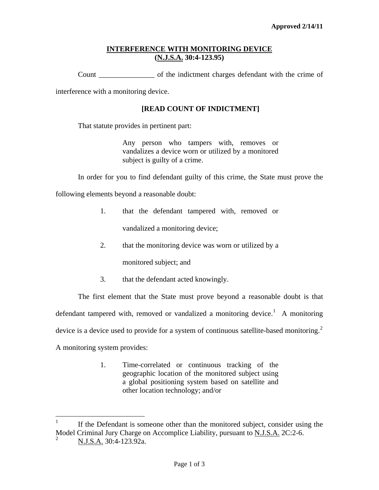## **INTERFERENCE WITH MONITORING DEVICE (N.J.S.A. 30:4-123.95)**

Count \_\_\_\_\_\_\_\_\_\_\_\_\_\_\_ of the indictment charges defendant with the crime of

interference with a monitoring device.

## **[READ COUNT OF INDICTMENT]**

That statute provides in pertinent part:

Any person who tampers with, removes or vandalizes a device worn or utilized by a monitored subject is guilty of a crime.

In order for you to find defendant guilty of this crime, the State must prove the

following elements beyond a reasonable doubt:

1. that the defendant tampered with, removed or

vandalized a monitoring device;

2. that the monitoring device was worn or utilized by a

monitored subject; and

3. that the defendant acted knowingly.

The first element that the State must prove beyond a reasonable doubt is that defendant tampered with, removed or vandalized a monitoring device.<sup>[1](#page-0-0)</sup> A monitoring device is a device used to provide for a system of continuous satellite-based monitoring.<sup>[2](#page-0-1)</sup> A monitoring system provides:

> 1. Time-correlated or continuous tracking of the geographic location of the monitored subject using a global positioning system based on satellite and other location technology; and/or

<span id="page-0-2"></span><span id="page-0-0"></span> $\frac{1}{1}$  If the Defendant is someone other than the monitored subject, consider using the Model Criminal Jury Charge on Accomplice Liability, pursuant to N.J.S.A. 2C:2-6. 2

<span id="page-0-1"></span>N.J.S.A. 30:4-123.92a.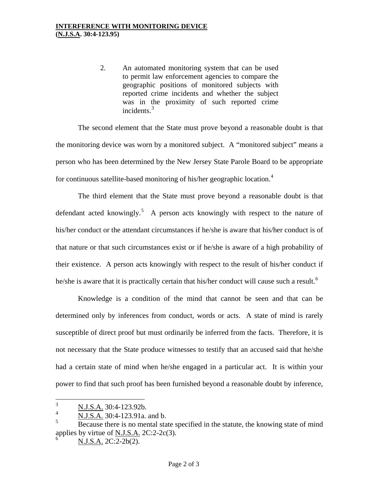2. An automated monitoring system that can be used to permit law enforcement agencies to compare the geographic positions of monitored subjects with reported crime incidents and whether the subject was in the proximity of such reported crime incidents. $3$ 

The second element that the State must prove beyond a reasonable doubt is that the monitoring device was worn by a monitored subject. A "monitored subject" means a person who has been determined by the New Jersey State Parole Board to be appropriate for continuous satellite-based monitoring of his/her geographic location.<sup>[4](#page-1-0)</sup>

The third element that the State must prove beyond a reasonable doubt is that defendant acted knowingly.<sup>[5](#page-1-1)</sup> A person acts knowingly with respect to the nature of his/her conduct or the attendant circumstances if he/she is aware that his/her conduct is of that nature or that such circumstances exist or if he/she is aware of a high probability of their existence. A person acts knowingly with respect to the result of his/her conduct if he/she is aware that it is practically certain that his/her conduct will cause such a result.<sup>[6](#page-1-2)</sup>

Knowledge is a condition of the mind that cannot be seen and that can be determined only by inferences from conduct, words or acts. A state of mind is rarely susceptible of direct proof but must ordinarily be inferred from the facts. Therefore, it is not necessary that the State produce witnesses to testify that an accused said that he/she had a certain state of mind when he/she engaged in a particular act. It is within your power to find that such proof has been furnished beyond a reasonable doubt by inference,

N.J.S.A. 2C:2-2b(2).

 $\frac{1}{3}$ N.J.S.A. 30:4-123.92b.

<span id="page-1-0"></span><sup>4</sup> N.J.S.A. 30:4-123.91a. and b.

<span id="page-1-2"></span><span id="page-1-1"></span><sup>5</sup> Because there is no mental state specified in the statute, the knowing state of mind applies by virtue of  $N.J.S.A. 2C:2-2c(3)$ . 6